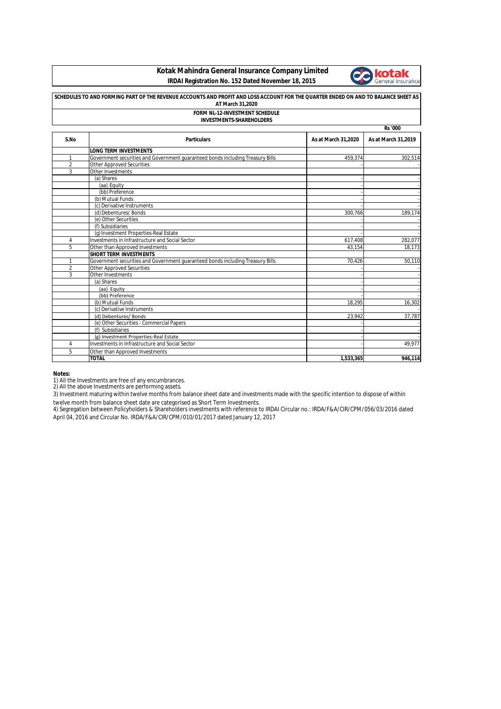**Kotak Mahindra General Insurance Company Limited IRDAI Registration No. 152 Dated November 18, 2015**



| SCHEDULES TO AND FORMING PART OF THE REVENUE ACCOUNTS AND PROFIT AND LOSS ACCOUNT FOR THE QUARTER ENDED ON AND TO BALANCE SHEET AS<br>AT March 31,2020<br>FORM NL-12-INVESTMENT SCHEDULE<br><b>INVESTMENTS-SHAREHOLDERS</b> |                                                                                |           |         |  |      |                    |                     |                     |  |
|-----------------------------------------------------------------------------------------------------------------------------------------------------------------------------------------------------------------------------|--------------------------------------------------------------------------------|-----------|---------|--|------|--------------------|---------------------|---------------------|--|
|                                                                                                                                                                                                                             |                                                                                |           |         |  |      |                    | <b>Rs</b> '000      |                     |  |
|                                                                                                                                                                                                                             |                                                                                |           |         |  | S.No | <b>Particulars</b> | As at March 31,2020 | As at March 31,2019 |  |
|                                                                                                                                                                                                                             | <b>LONG TERM INVESTMENTS</b>                                                   |           |         |  |      |                    |                     |                     |  |
| 1                                                                                                                                                                                                                           | Government securities and Government guaranteed bonds including Treasury Bills | 459.374   | 302,514 |  |      |                    |                     |                     |  |
| $\overline{2}$                                                                                                                                                                                                              | <b>Other Approved Securities</b>                                               |           |         |  |      |                    |                     |                     |  |
| 3                                                                                                                                                                                                                           | Other Investments                                                              |           |         |  |      |                    |                     |                     |  |
|                                                                                                                                                                                                                             | (a) Shares                                                                     |           |         |  |      |                    |                     |                     |  |
|                                                                                                                                                                                                                             | (aa) Equity                                                                    |           |         |  |      |                    |                     |                     |  |
|                                                                                                                                                                                                                             | (bb) Preference                                                                |           |         |  |      |                    |                     |                     |  |
|                                                                                                                                                                                                                             | (b) Mutual Funds                                                               |           |         |  |      |                    |                     |                     |  |
|                                                                                                                                                                                                                             | (c) Derivative Instruments                                                     |           |         |  |      |                    |                     |                     |  |
|                                                                                                                                                                                                                             | (d) Debentures/ Bonds                                                          | 300.766   | 189,174 |  |      |                    |                     |                     |  |
|                                                                                                                                                                                                                             | (e) Other Securities                                                           |           |         |  |      |                    |                     |                     |  |
|                                                                                                                                                                                                                             | (f) Subsidiaries                                                               |           |         |  |      |                    |                     |                     |  |
|                                                                                                                                                                                                                             | (g) Investment Properties-Real Estate                                          |           |         |  |      |                    |                     |                     |  |
| $\overline{4}$                                                                                                                                                                                                              | Investments in Infrastructure and Social Sector                                | 617,408   | 282,077 |  |      |                    |                     |                     |  |
| 5                                                                                                                                                                                                                           | Other than Approved Investments                                                | 43.154    | 18,173  |  |      |                    |                     |                     |  |
|                                                                                                                                                                                                                             | <b>SHORT TERM INVESTMENTS</b>                                                  |           |         |  |      |                    |                     |                     |  |
| $\mathbf{1}$                                                                                                                                                                                                                | Government securities and Government guaranteed bonds including Treasury Bills | 70,426    | 50,110  |  |      |                    |                     |                     |  |
| $\overline{2}$                                                                                                                                                                                                              | <b>Other Approved Securities</b>                                               |           |         |  |      |                    |                     |                     |  |
| 3                                                                                                                                                                                                                           | Other Investments                                                              |           |         |  |      |                    |                     |                     |  |
|                                                                                                                                                                                                                             | (a) Shares                                                                     |           |         |  |      |                    |                     |                     |  |
|                                                                                                                                                                                                                             | (aa) Equity                                                                    |           |         |  |      |                    |                     |                     |  |
|                                                                                                                                                                                                                             | (bb) Preference                                                                |           |         |  |      |                    |                     |                     |  |
|                                                                                                                                                                                                                             | (b) Mutual Funds                                                               | 18,295    | 16,302  |  |      |                    |                     |                     |  |
|                                                                                                                                                                                                                             | (c) Derivative Instruments                                                     |           |         |  |      |                    |                     |                     |  |
|                                                                                                                                                                                                                             | (d) Debentures/ Bonds                                                          | 23,942    | 37,787  |  |      |                    |                     |                     |  |
|                                                                                                                                                                                                                             | (e) Other Securities - Commercial Papers                                       |           |         |  |      |                    |                     |                     |  |
|                                                                                                                                                                                                                             | (f) Subsidiaries                                                               |           |         |  |      |                    |                     |                     |  |
|                                                                                                                                                                                                                             | (g) Investment Properties-Real Estate                                          |           |         |  |      |                    |                     |                     |  |
| 4                                                                                                                                                                                                                           | Investments in Infrastructure and Social Sector                                |           | 49,977  |  |      |                    |                     |                     |  |
| 5                                                                                                                                                                                                                           | Other than Approved Investments                                                |           |         |  |      |                    |                     |                     |  |
|                                                                                                                                                                                                                             | <b>TOTAL</b>                                                                   | 1,533,365 | 946,114 |  |      |                    |                     |                     |  |

**Notes:**

1) All the Investments are free of any encumbrances.<br>2) All the above Investments are performing assets.

3) Investment maturing within twelve months from balance sheet date and investments made with the specific intention to dispose of within twelve month from balance sheet date are categorised as Short Term Investments.

4) Segregation between Policyholders & Shareholders investments with reference to IRDAI Circular no.: IRDA/F&A/CIR/CPM/056/03/2016 dated April 04, 2016 and Circular No. IRDA/F&A/CIR/CPM/010/01/2017 dated January 12, 2017